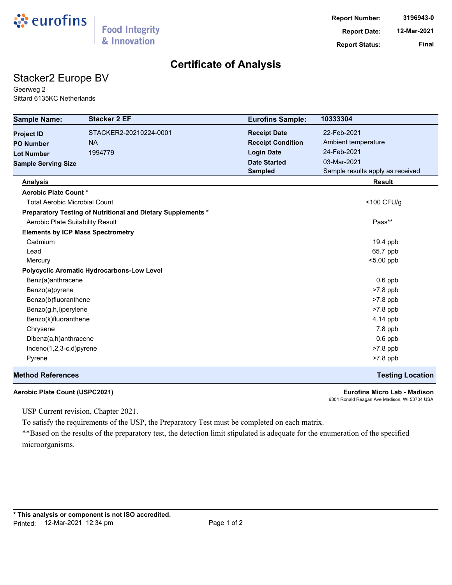

### **Certificate of Analysis**

## Stacker2 Europe BV

Geerweg 2 Sittard 6135KC Netherlands

| <b>Sample Name:</b>                  | <b>Stacker 2 EF</b>                                          | <b>Eurofins Sample:</b>  | 10333304                         |
|--------------------------------------|--------------------------------------------------------------|--------------------------|----------------------------------|
| <b>Project ID</b>                    | STACKER2-20210224-0001                                       | <b>Receipt Date</b>      | 22-Feb-2021                      |
| <b>PO Number</b>                     | <b>NA</b>                                                    | <b>Receipt Condition</b> | Ambient temperature              |
| <b>Lot Number</b>                    | 1994779                                                      | <b>Login Date</b>        | 24-Feb-2021                      |
| <b>Sample Serving Size</b>           |                                                              | <b>Date Started</b>      | 03-Mar-2021                      |
|                                      |                                                              | <b>Sampled</b>           | Sample results apply as received |
| <b>Analysis</b>                      |                                                              |                          | <b>Result</b>                    |
| Aerobic Plate Count *                |                                                              |                          |                                  |
| <b>Total Aerobic Microbial Count</b> |                                                              |                          | <100 CFU/g                       |
|                                      | Preparatory Testing of Nutritional and Dietary Supplements * |                          |                                  |
| Aerobic Plate Suitability Result     |                                                              |                          | Pass**                           |
|                                      | <b>Elements by ICP Mass Spectrometry</b>                     |                          |                                  |
| Cadmium                              |                                                              |                          | 19.4 ppb                         |
| Lead                                 |                                                              |                          | 65.7 ppb                         |
| Mercury                              |                                                              |                          | $< 5.00$ ppb                     |
|                                      | <b>Polycyclic Aromatic Hydrocarbons-Low Level</b>            |                          |                                  |
| Benz(a)anthracene                    |                                                              |                          | $0.6$ ppb                        |
| Benzo(a)pyrene                       |                                                              |                          | >7.8 ppb                         |
| Benzo(b)fluoranthene                 |                                                              |                          | >7.8 ppb                         |
| Benzo(g,h,i)perylene                 |                                                              |                          | $>7.8$ ppb                       |
| Benzo(k)fluoranthene                 |                                                              |                          | 4.14 ppb                         |
| Chrysene                             |                                                              |                          | $7.8$ ppb                        |
| Dibenz(a,h)anthracene                |                                                              |                          | $0.6$ ppb                        |
| $Indeno(1,2,3-c,d)pyrene$            |                                                              |                          | $>7.8$ ppb                       |
| Pyrene                               |                                                              |                          | >7.8 ppb                         |
| <b>Method References</b>             |                                                              |                          | <b>Testing Location</b>          |

**Aerobic Plate Count (USPC2021) Eurofins Micro Lab - Madison** 6304 Ronald Reagan Ave Madison, WI 53704 USA

USP Current revision, Chapter 2021.

To satisfy the requirements of the USP, the Preparatory Test must be completed on each matrix.

\*\*Based on the results of the preparatory test, the detection limit stipulated is adequate for the enumeration of the specified microorganisms.